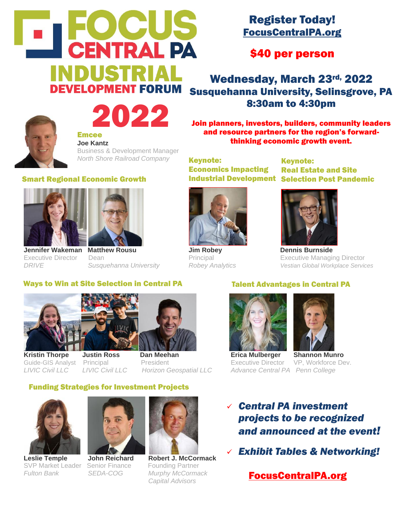

## Register Today! FocusCentralPA.org

\$40 per person

Wednesday, March 23rd, 2022 Susquehanna University, Selinsgrove, PA 8:30am to 4:30pm

Join planners, investors, builders, community leaders and resource partners for the region's forwardthinking economic growth event.

Keynote: Economics Impacting

Industrial Development Selection Post Pandemic Keynote: Real Estate and Site



Executive Director Dean Principal Executive Managing Director *DRIVE Susquehanna University Robey Analytics Vestian Global Workplace Services*



#### Emcee **Joe Kantz**

Business & Development Manager *North Shore Railroad Company* 

2022

#### Smart Regional Economic Growth





**Jennifer Wakeman Matthew Rousu Jim Robey Dennis Burnside**

### Ways to Win at Site Selection in Central PA





**Kristin Thorpe Justin Ross Dan Meehan Erica Mulberger Shannon Munro** Guide-GIS Analyst Principal President Executive Director VP, Workforce Dev. *LIVIC Civil LLC LIVIC Civil LLC Horizon Geospatial LLC Advance Central PA Penn College*

### Funding Strategies for Investment Projects



SVP Market Leader Senior Finance Founding Partner





**Leslie Temple John Reichard Robert J. McCormack** *Fulton Bank SEDA-COG Murphy McCormack Capital Advisors*

### Talent Advantages in Central PA





- ✓ *Central PA investment projects to be recognized and announced at the event!*
- ✓ *Exhibit Tables & Networking!*

FocusCentralPA.org